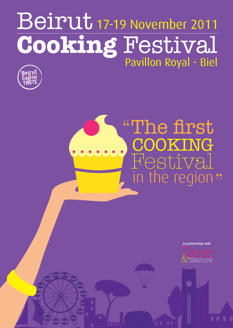## Beirut **Cooking** Festival 17-19 November 2011 Pavillon Royal - Biel



# ,<br>" "The first COOKING Festival in the region

In partnership with

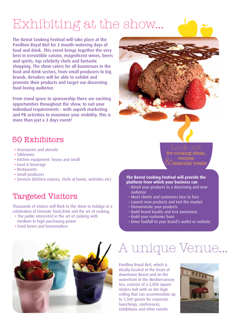## Exhibiting at the show...

The Beirut Cooking Festival will take place at the Pavillion Royal Biel for 3 mouth-watering days of food and drink. This event brings together the very best in irresistible cuisine, magnificent wines, beers and spirits, top celebrity chefs and fantastic shopping. The show caters for all businesses in the food and drink sectors, from small producers to big brands. Retailers will be able to exhibit and promote their products and target our discerning food loving audience.

From stand space to sponsorship there are exciting opportunities throughout the show, to suit your individual requirements - with superb marketing and PR activities to maximize your visibility. This is more than just a 3 days event!

### 50 Exhibitors

- Accessories and utensils
- Tableware
- Kitchen equipment: heavy and small
- Food & beverage
- Restaurants
- Small producers
- 

### Targeted Visitors

Thousands of visitors will flock to the show to indulge in a celebration of fantastic food,drink and the art of cooking.

- The public interested in the art of cooking with medium to high purchasing power
- Food lovers and homemakers

Look out for cooking ideas, recipes  $\&$ s

seasonal treats

#### • Services (kitchen courses, chefs at home, websites etc) **The Beirut Cooking Festival will provide the platform from which your business can**

- Retail your products to a discerning and new audience
- Meet clients and customers face to face
- Launch new products and test the market
- Demonstrate your products
- Build brand loyalty and test awareness
- Build your customer base
- Drive footfall to your brand's outlet or website



## A unique Venue...

Pavillion Royal Biel, which is ideally located at the heart of downtown Beirut and on the waterfront of the Mediterranean Sea, consists of a 2,000 square meters hall with an 8m high ceiling that can accommodate up to 1,500 guests for corporate launchings, conferences, exhibitions and other events.

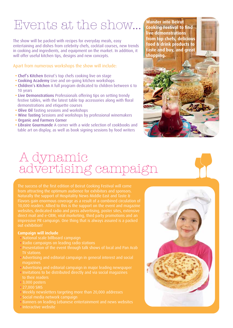## Events at the show...

The show will be packed with recipes for everyday meals, easy entertaining and dishes from celebrity chefs, cocktail courses, new trends in cooking and ingredients, and equipment on the market. In addition, it will offer useful kitchen tips, designs and new concepts.

#### Apart from numerous workshops the show will include:

- Chef's Kitchen Beirut's top chefs cooking live on stage
- Cooking Academy Live and on-going kitchen workshops
- Children's Kitchen A full program dedicated to children between 6 to 10 years
- Live Demonstrations Professionals offering tips on setting trendy festive tables, with the latest table top accessories along with floral demonstrations and etiquette courses
- Olive Oil Tasting sessions and workshops
- Wine Tasting Sessions and workshops by professional winemakers
- Organic and Farmers Corner
- Libraire Gourmande A corner with a wide selection of cookbooks and table art on display, as well as book signing sessions by food writers

### A dynamic advertising campaign

The success of the first edition of Beirut Cooking Festival will come from attracting the optimum audience for exhibitors and sponsors. Naturally the support of Hospitality News Middle East and Taste & 10,000 readers. Allied to this is the support on the event and magazine websites, dedicated radio and press advertising, poster sites, extensive direct mail and e-CRM, viral marketing, third party promotions and an out exhibition!

#### **Campaign will include**

- National scale billboard campaign
- Radio campaigns on leading radio stations
- Presentation of the event through talk shows of local and Pan Arab TV stations
- Advertising and editorial campaign in general interest and social magazines
- Advertising and editorial campaign in major leading newspaper
- Invitations to be distributed directly and via social magazines
- 3,000 posters
- 27,000 SMS
- Weekly newsletters targeting more than 20,000 addresses
- Social media network campaign
- Banners on leading Lebanese entertainment and news websites
- Interactive website



**Wander into Beirut** 

**Cooking Festival to find live demonstrations from top chefs, delicious**